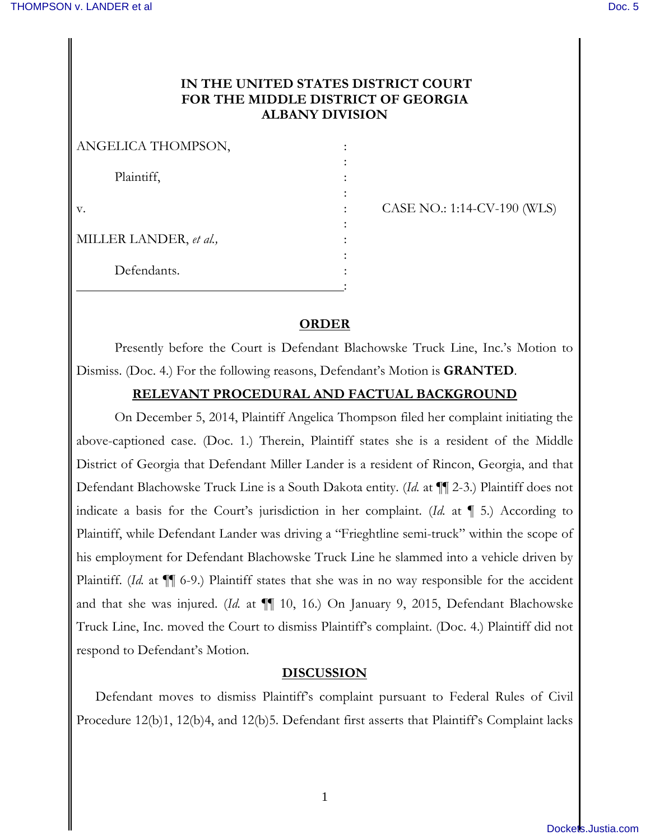# **IN THE UNITED STATES DISTRICT COURT FOR THE MIDDLE DISTRICT OF GEORGIA ALBANY DIVISION**

| ANGELICA THOMPSON,     |  |
|------------------------|--|
| Plaintiff,             |  |
| V.                     |  |
|                        |  |
| MILLER LANDER, et al., |  |
| Defendants.            |  |
|                        |  |

CASE NO.: 1:14-CV-190 (WLS)

## **ORDER**

Presently before the Court is Defendant Blachowske Truck Line, Inc.'s Motion to Dismiss. (Doc. 4.) For the following reasons, Defendant's Motion is **GRANTED**.

## **RELEVANT PROCEDURAL AND FACTUAL BACKGROUND**

On December 5, 2014, Plaintiff Angelica Thompson filed her complaint initiating the above-captioned case. (Doc. 1.) Therein, Plaintiff states she is a resident of the Middle District of Georgia that Defendant Miller Lander is a resident of Rincon, Georgia, and that Defendant Blachowske Truck Line is a South Dakota entity. (*Id.* at ¶¶ 2-3.) Plaintiff does not indicate a basis for the Court's jurisdiction in her complaint. (*Id.* at ¶ 5.) According to Plaintiff, while Defendant Lander was driving a "Frieghtline semi-truck" within the scope of his employment for Defendant Blachowske Truck Line he slammed into a vehicle driven by Plaintiff. (*Id.* at  $\P$  6-9.) Plaintiff states that she was in no way responsible for the accident and that she was injured. (*Id.* at ¶¶ 10, 16.) On January 9, 2015, Defendant Blachowske Truck Line, Inc. moved the Court to dismiss Plaintiff's complaint. (Doc. 4.) Plaintiff did not respond to Defendant's Motion.

### **DISCUSSION**

Defendant moves to dismiss Plaintiff's complaint pursuant to Federal Rules of Civil Procedure 12(b)1, 12(b)4, and 12(b)5. Defendant first asserts that Plaintiff's Complaint lacks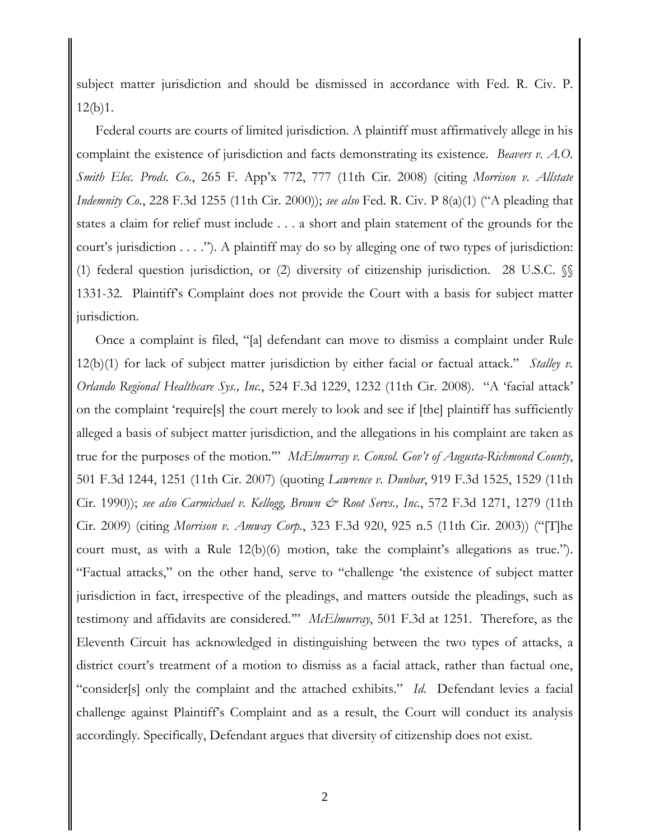subject matter jurisdiction and should be dismissed in accordance with Fed. R. Civ. P. 12(b)1.

Federal courts are courts of limited jurisdiction. A plaintiff must affirmatively allege in his complaint the existence of jurisdiction and facts demonstrating its existence. *Beavers v. A.O. Smith Elec. Prods. Co*., 265 F. App'x 772, 777 (11th Cir. 2008) (citing *Morrison v. Allstate Indemnity Co.*, 228 F.3d 1255 (11th Cir. 2000)); *see also* Fed. R. Civ. P 8(a)(1) ("A pleading that states a claim for relief must include . . . a short and plain statement of the grounds for the court's jurisdiction . . . ."). A plaintiff may do so by alleging one of two types of jurisdiction: (1) federal question jurisdiction, or (2) diversity of citizenship jurisdiction. 28 U.S.C. §§ 1331-32. Plaintiff's Complaint does not provide the Court with a basis for subject matter jurisdiction.

Once a complaint is filed, "[a] defendant can move to dismiss a complaint under Rule 12(b)(1) for lack of subject matter jurisdiction by either facial or factual attack." *Stalley v. Orlando Regional Healthcare Sys., Inc.*, 524 F.3d 1229, 1232 (11th Cir. 2008). "A 'facial attack' on the complaint 'require[s] the court merely to look and see if [the] plaintiff has sufficiently alleged a basis of subject matter jurisdiction, and the allegations in his complaint are taken as true for the purposes of the motion.'" *McElmurray v. Consol. Gov't of Augusta-Richmond County*, 501 F.3d 1244, 1251 (11th Cir. 2007) (quoting *Lawrence v. Dunbar*, 919 F.3d 1525, 1529 (11th Cir. 1990)); *see also Carmichael v. Kellogg, Brown & Root Servs., Inc.*, 572 F.3d 1271, 1279 (11th Cir. 2009) (citing *Morrison v. Amway Corp.*, 323 F.3d 920, 925 n.5 (11th Cir. 2003)) ("[T]he court must, as with a Rule 12(b)(6) motion, take the complaint's allegations as true."). "Factual attacks," on the other hand, serve to "challenge 'the existence of subject matter jurisdiction in fact, irrespective of the pleadings, and matters outside the pleadings, such as testimony and affidavits are considered.'" *McElmurray*, 501 F.3d at 1251. Therefore, as the Eleventh Circuit has acknowledged in distinguishing between the two types of attacks, a district court's treatment of a motion to dismiss as a facial attack, rather than factual one, "consider[s] only the complaint and the attached exhibits." *Id*. Defendant levies a facial challenge against Plaintiff's Complaint and as a result, the Court will conduct its analysis accordingly. Specifically, Defendant argues that diversity of citizenship does not exist.